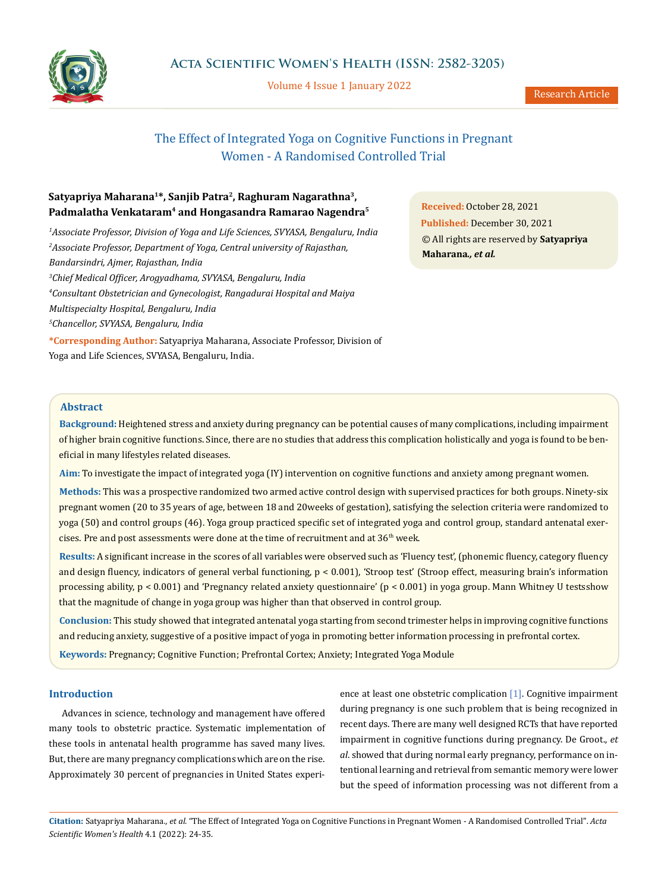

Volume 4 Issue 1 January 2022

# The Effect of Integrated Yoga on Cognitive Functions in Pregnant Women - A Randomised Controlled Trial

# **Satyapriya Maharana1\*, Sanjib Patra2, Raghuram Nagarathna3, Padmalatha Venkataram4 and Hongasandra Ramarao Nagendra5**

*1 Associate Professor, Division of Yoga and Life Sciences, SVYASA, Bengaluru, India 2 Associate Professor, Department of Yoga, Central university of Rajasthan, Bandarsindri, Ajmer, Rajasthan, India 3 Chief Medical Officer, Arogyadhama, SVYASA, Bengaluru, India 4 Consultant Obstetrician and Gynecologist, Rangadurai Hospital and Maiya Multispecialty Hospital, Bengaluru, India 5 Chancellor, SVYASA, Bengaluru, India* **\*Corresponding Author:** Satyapriya Maharana, Associate Professor, Division of Yoga and Life Sciences, SVYASA, Bengaluru, India.

**Received:** October 28, 2021 **Published:** December 30, 2021 © All rights are reserved by **Satyapriya Maharana***., et al.*

# **Abstract**

**Background:** Heightened stress and anxiety during pregnancy can be potential causes of many complications, including impairment of higher brain cognitive functions. Since, there are no studies that address this complication holistically and yoga is found to be beneficial in many lifestyles related diseases.

**Aim:** To investigate the impact of integrated yoga (IY) intervention on cognitive functions and anxiety among pregnant women.

**Methods:** This was a prospective randomized two armed active control design with supervised practices for both groups. Ninety-six pregnant women (20 to 35 years of age, between 18 and 20weeks of gestation), satisfying the selection criteria were randomized to yoga (50) and control groups (46). Yoga group practiced specific set of integrated yoga and control group, standard antenatal exercises. Pre and post assessments were done at the time of recruitment and at  $36<sup>th</sup>$  week.

**Results:** A significant increase in the scores of all variables were observed such as 'Fluency test', (phonemic fluency, category fluency and design fluency, indicators of general verbal functioning,  $p < 0.001$ ), 'Stroop test' (Stroop effect, measuring brain's information processing ability, p < 0.001) and 'Pregnancy related anxiety questionnaire' (p < 0.001) in yoga group. Mann Whitney U testsshow that the magnitude of change in yoga group was higher than that observed in control group.

**Conclusion:** This study showed that integrated antenatal yoga starting from second trimester helps in improving cognitive functions and reducing anxiety, suggestive of a positive impact of yoga in promoting better information processing in prefrontal cortex.

**Keywords:** Pregnancy; Cognitive Function; Prefrontal Cortex; Anxiety; Integrated Yoga Module

# **Introduction**

Advances in science, technology and management have offered many tools to obstetric practice. Systematic implementation of these tools in antenatal health programme has saved many lives. But, there are many pregnancy complications which are on the rise. Approximately 30 percent of pregnancies in United States experience at least one obstetric complication [1]. Cognitive impairment during pregnancy is one such problem that is being recognized in recent days. There are many well designed RCTs that have reported impairment in cognitive functions during pregnancy. De Groot., *et al*. showed that during normal early pregnancy, performance on intentional learning and retrieval from semantic memory were lower but the speed of information processing was not different from a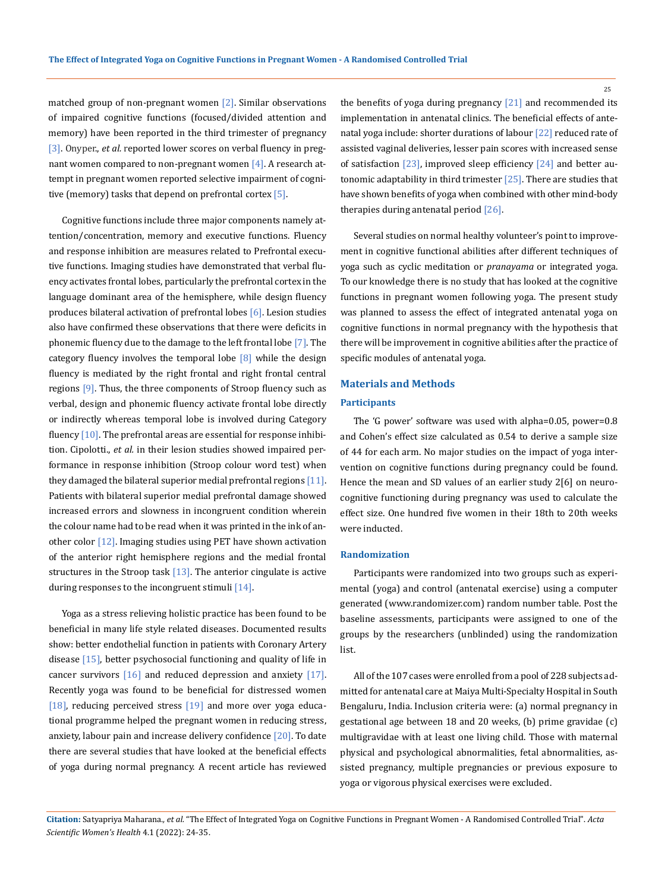matched group of non-pregnant women [2]. Similar observations of impaired cognitive functions (focused/divided attention and memory) have been reported in the third trimester of pregnancy [3]. Onyper., *et al.* reported lower scores on verbal fluency in pregnant women compared to non-pregnant women [4]. A research attempt in pregnant women reported selective impairment of cognitive (memory) tasks that depend on prefrontal cortex [5].

Cognitive functions include three major components namely attention/concentration, memory and executive functions. Fluency and response inhibition are measures related to Prefrontal executive functions. Imaging studies have demonstrated that verbal fluency activates frontal lobes, particularly the prefrontal cortex in the language dominant area of the hemisphere, while design fluency produces bilateral activation of prefrontal lobes [6]. Lesion studies also have confirmed these observations that there were deficits in phonemic fluency due to the damage to the left frontal lobe [7]. The category fluency involves the temporal lobe  $[8]$  while the design fluency is mediated by the right frontal and right frontal central regions  $[9]$ . Thus, the three components of Stroop fluency such as verbal, design and phonemic fluency activate frontal lobe directly or indirectly whereas temporal lobe is involved during Category fluency  $[10]$ . The prefrontal areas are essential for response inhibition. Cipolotti., *et al.* in their lesion studies showed impaired performance in response inhibition (Stroop colour word test) when they damaged the bilateral superior medial prefrontal regions [11]. Patients with bilateral superior medial prefrontal damage showed increased errors and slowness in incongruent condition wherein the colour name had to be read when it was printed in the ink of another color [12]. Imaging studies using PET have shown activation of the anterior right hemisphere regions and the medial frontal structures in the Stroop task  $[13]$ . The anterior cingulate is active during responses to the incongruent stimuli [14].

Yoga as a stress relieving holistic practice has been found to be beneficial in many life style related diseases. Documented results show: better endothelial function in patients with Coronary Artery disease [15], better psychosocial functioning and quality of life in cancer survivors  $[16]$  and reduced depression and anxiety  $[17]$ . Recently yoga was found to be beneficial for distressed women [18], reducing perceived stress [19] and more over yoga educational programme helped the pregnant women in reducing stress, anxiety, labour pain and increase delivery confidence [20]. To date there are several studies that have looked at the beneficial effects of yoga during normal pregnancy. A recent article has reviewed

the benefits of yoga during pregnancy  $[21]$  and recommended its implementation in antenatal clinics. The beneficial effects of antenatal yoga include: shorter durations of labour [22] reduced rate of assisted vaginal deliveries, lesser pain scores with increased sense of satisfaction  $[23]$ , improved sleep efficiency  $[24]$  and better autonomic adaptability in third trimester [25]. There are studies that have shown benefits of yoga when combined with other mind-body therapies during antenatal period [26].

Several studies on normal healthy volunteer's point to improvement in cognitive functional abilities after different techniques of yoga such as cyclic meditation or *pranayama* or integrated yoga. To our knowledge there is no study that has looked at the cognitive functions in pregnant women following yoga. The present study was planned to assess the effect of integrated antenatal yoga on cognitive functions in normal pregnancy with the hypothesis that there will be improvement in cognitive abilities after the practice of specific modules of antenatal yoga.

# **Materials and Methods**

## **Participants**

The 'G power' software was used with alpha=0.05, power=0.8 and Cohen's effect size calculated as 0.54 to derive a sample size of 44 for each arm. No major studies on the impact of yoga intervention on cognitive functions during pregnancy could be found. Hence the mean and SD values of an earlier study 2[6] on neurocognitive functioning during pregnancy was used to calculate the effect size. One hundred five women in their 18th to 20th weeks were inducted.

#### **Randomization**

Participants were randomized into two groups such as experimental (yoga) and control (antenatal exercise) using a computer generated (www.randomizer.com) random number table. Post the baseline assessments, participants were assigned to one of the groups by the researchers (unblinded) using the randomization list.

All of the 107 cases were enrolled from a pool of 228 subjects admitted for antenatal care at Maiya Multi-Specialty Hospital in South Bengaluru, India. Inclusion criteria were: (a) normal pregnancy in gestational age between 18 and 20 weeks, (b) prime gravidae (c) multigravidae with at least one living child. Those with maternal physical and psychological abnormalities, fetal abnormalities, assisted pregnancy, multiple pregnancies or previous exposure to yoga or vigorous physical exercises were excluded.

**Citation:** Satyapriya Maharana*., et al.* "The Effect of Integrated Yoga on Cognitive Functions in Pregnant Women - A Randomised Controlled Trial". *Acta Scientific Women's Health* 4.1 (2022): 24-35.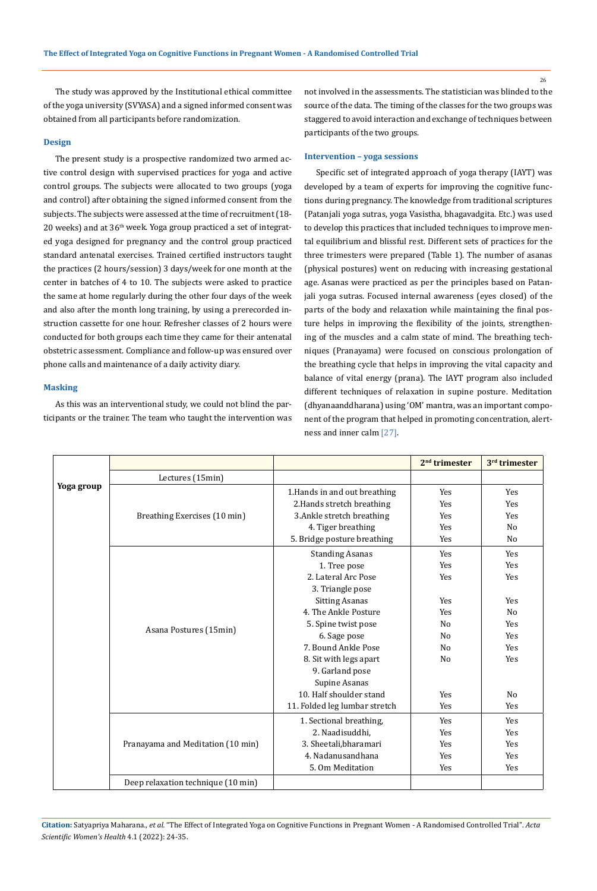The study was approved by the Institutional ethical committee of the yoga university (SVYASA) and a signed informed consent was obtained from all participants before randomization.

#### **Design**

The present study is a prospective randomized two armed active control design with supervised practices for yoga and active control groups. The subjects were allocated to two groups (yoga and control) after obtaining the signed informed consent from the subjects. The subjects were assessed at the time of recruitment (18- 20 weeks) and at 36<sup>th</sup> week. Yoga group practiced a set of integrated yoga designed for pregnancy and the control group practiced standard antenatal exercises. Trained certified instructors taught the practices (2 hours/session) 3 days/week for one month at the center in batches of 4 to 10. The subjects were asked to practice the same at home regularly during the other four days of the week and also after the month long training, by using a prerecorded instruction cassette for one hour. Refresher classes of 2 hours were conducted for both groups each time they came for their antenatal obstetric assessment. Compliance and follow-up was ensured over phone calls and maintenance of a daily activity diary.

## **Masking**

As this was an interventional study, we could not blind the participants or the trainer. The team who taught the intervention was not involved in the assessments. The statistician was blinded to the source of the data. The timing of the classes for the two groups was staggered to avoid interaction and exchange of techniques between participants of the two groups.

## **Intervention – yoga sessions**

Specific set of integrated approach of yoga therapy (IAYT) was developed by a team of experts for improving the cognitive functions during pregnancy. The knowledge from traditional scriptures (Patanjali yoga sutras, yoga Vasistha, bhagavadgita. Etc.) was used to develop this practices that included techniques to improve mental equilibrium and blissful rest. Different sets of practices for the three trimesters were prepared (Table 1). The number of asanas (physical postures) went on reducing with increasing gestational age. Asanas were practiced as per the principles based on Patanjali yoga sutras. Focused internal awareness (eyes closed) of the parts of the body and relaxation while maintaining the final posture helps in improving the flexibility of the joints, strengthening of the muscles and a calm state of mind. The breathing techniques (Pranayama) were focused on conscious prolongation of the breathing cycle that helps in improving the vital capacity and balance of vital energy (prana). The IAYT program also included different techniques of relaxation in supine posture. Meditation (dhyanaanddharana) using 'OM' mantra, was an important component of the program that helped in promoting concentration, alertness and inner calm [27].

|            |                                    |                               | $2nd$ trimester | 3 <sup>rd</sup> trimester |
|------------|------------------------------------|-------------------------------|-----------------|---------------------------|
| Yoga group | Lectures (15min)                   |                               |                 |                           |
|            |                                    | 1. Hands in and out breathing | Yes             | Yes                       |
|            |                                    | 2. Hands stretch breathing    | Yes             | Yes                       |
|            | Breathing Exercises (10 min)       | 3. Ankle stretch breathing    | <b>Yes</b>      | <b>Yes</b>                |
|            |                                    | 4. Tiger breathing            | <b>Yes</b>      | N <sub>0</sub>            |
|            |                                    | 5. Bridge posture breathing   | <b>Yes</b>      | N <sub>0</sub>            |
|            |                                    | <b>Standing Asanas</b>        | Yes             | Yes                       |
|            |                                    | 1. Tree pose                  | Yes             | Yes                       |
|            |                                    | 2. Lateral Arc Pose           | Yes             | Yes                       |
|            |                                    | 3. Triangle pose              |                 |                           |
|            |                                    | <b>Sitting Asanas</b>         | Yes             | Yes                       |
|            |                                    | 4. The Ankle Posture          | Yes             | N <sub>0</sub>            |
|            | Asana Postures (15min)             | 5. Spine twist pose           | N <sub>0</sub>  | Yes                       |
|            |                                    | 6. Sage pose                  | N <sub>0</sub>  | <b>Yes</b>                |
|            |                                    | 7. Bound Ankle Pose           | N <sub>0</sub>  | Yes                       |
|            |                                    | 8. Sit with legs apart        | N <sub>o</sub>  | <b>Yes</b>                |
|            |                                    | 9. Garland pose               |                 |                           |
|            |                                    |                               |                 |                           |
|            |                                    | 10. Half shoulder stand       | <b>Yes</b>      | N <sub>0</sub>            |
|            |                                    | 11. Folded leg lumbar stretch | Yes             | Yes                       |
|            |                                    | 1. Sectional breathing,       | Yes             | Yes                       |
|            |                                    | 2. Naadisuddhi.               | Yes             | Yes                       |
|            | Pranayama and Meditation (10 min)  | 3. Sheetali.bharamari         | Yes             | Yes                       |
|            |                                    | 4. Nadanusandhana             | Yes             | Yes                       |
|            |                                    | 5. Om Meditation              | Yes             | Yes                       |
|            | Deep relaxation technique (10 min) |                               |                 |                           |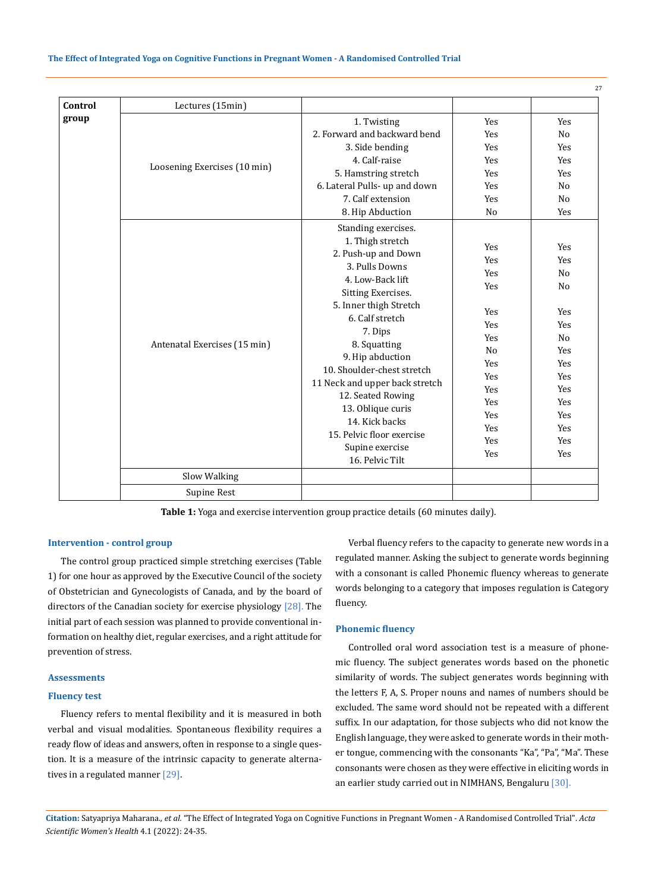| Control<br>group | Lectures (15min)             |                                |                          |                                  |
|------------------|------------------------------|--------------------------------|--------------------------|----------------------------------|
|                  |                              | 1. Twisting                    | Yes                      | Yes                              |
|                  |                              | 2. Forward and backward bend   | Yes                      | N <sub>o</sub>                   |
|                  |                              | 3. Side bending                | Yes                      | Yes                              |
|                  |                              | 4. Calf-raise                  | <b>Yes</b>               | Yes                              |
|                  | Loosening Exercises (10 min) | 5. Hamstring stretch           | <b>Yes</b>               | Yes                              |
|                  |                              | 6. Lateral Pulls- up and down  | <b>Yes</b>               | N <sub>0</sub>                   |
|                  |                              | 7. Calf extension              | Yes                      | N <sub>o</sub>                   |
|                  |                              | 8. Hip Abduction               | N <sub>o</sub>           | Yes                              |
|                  |                              | Standing exercises.            |                          |                                  |
|                  |                              | 1. Thigh stretch               |                          |                                  |
|                  |                              | 2. Push-up and Down            | <b>Yes</b><br><b>Yes</b> | <b>Yes</b>                       |
|                  |                              | 3. Pulls Downs                 |                          | Yes                              |
|                  |                              | 4. Low-Back lift               | Yes<br>Yes               | N <sub>o</sub><br>N <sub>o</sub> |
|                  |                              | Sitting Exercises.             |                          |                                  |
|                  |                              | 5. Inner thigh Stretch         | Yes                      | Yes                              |
|                  |                              | 6. Calf stretch                | Yes                      | Yes                              |
|                  |                              | 7. Dips                        | Yes                      | N <sub>0</sub>                   |
|                  | Antenatal Exercises (15 min) | 8. Squatting                   | N <sub>0</sub>           | <b>Yes</b>                       |
|                  |                              | 9. Hip abduction               | Yes                      | Yes                              |
|                  |                              | 10. Shoulder-chest stretch     | Yes                      | Yes                              |
|                  |                              | 11 Neck and upper back stretch | <b>Yes</b>               | Yes                              |
|                  |                              | 12. Seated Rowing              | Yes                      | Yes                              |
|                  |                              | 13. Oblique curis              | Yes                      | Yes                              |
|                  |                              | 14. Kick backs                 | <b>Yes</b>               | <b>Yes</b>                       |
|                  |                              | 15. Pelvic floor exercise      | Yes                      | Yes                              |
|                  |                              | Supine exercise                | Yes                      | Yes                              |
|                  |                              | 16. Pelvic Tilt                |                          |                                  |
|                  | Slow Walking                 |                                |                          |                                  |
|                  | Supine Rest                  |                                |                          |                                  |

**Table 1:** Yoga and exercise intervention group practice details (60 minutes daily).

## **Intervention - control group**

The control group practiced simple stretching exercises (Table 1) for one hour as approved by the Executive Council of the society of Obstetrician and Gynecologists of Canada, and by the board of directors of the Canadian society for exercise physiology [28]. The initial part of each session was planned to provide conventional information on healthy diet, regular exercises, and a right attitude for prevention of stress.

# **Assessments**

## **Fluency test**

Fluency refers to mental flexibility and it is measured in both verbal and visual modalities. Spontaneous flexibility requires a ready flow of ideas and answers, often in response to a single question. It is a measure of the intrinsic capacity to generate alternatives in a regulated manner [29].

Verbal fluency refers to the capacity to generate new words in a regulated manner. Asking the subject to generate words beginning with a consonant is called Phonemic fluency whereas to generate words belonging to a category that imposes regulation is Category fluency.

27

# **Phonemic fluency**

Controlled oral word association test is a measure of phonemic fluency. The subject generates words based on the phonetic similarity of words. The subject generates words beginning with the letters F, A, S. Proper nouns and names of numbers should be excluded. The same word should not be repeated with a different suffix. In our adaptation, for those subjects who did not know the English language, they were asked to generate words in their mother tongue, commencing with the consonants "Ka", "Pa", "Ma". These consonants were chosen as they were effective in eliciting words in an earlier study carried out in NIMHANS, Bengaluru [30].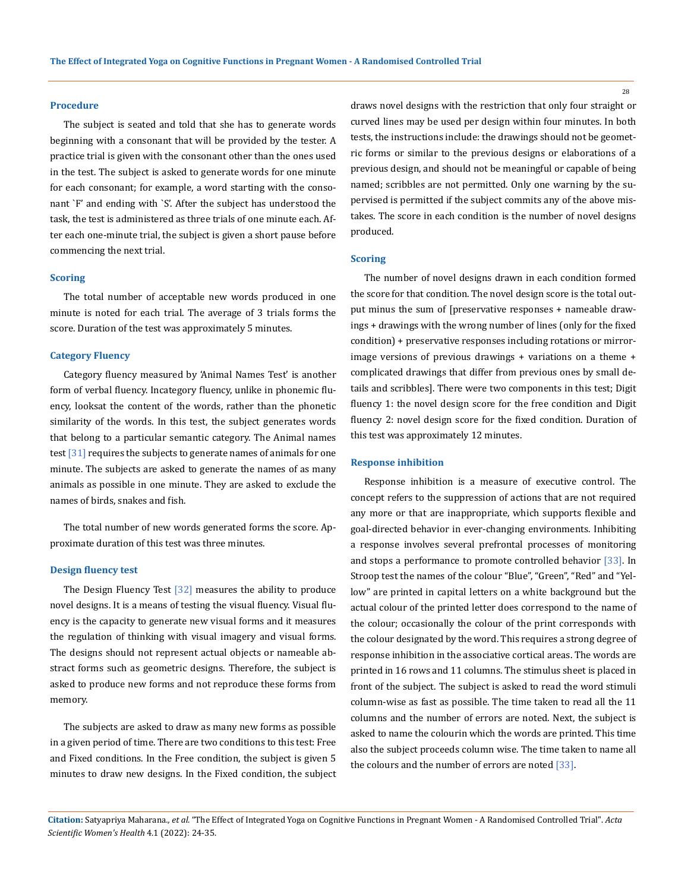#### **Procedure**

The subject is seated and told that she has to generate words beginning with a consonant that will be provided by the tester. A practice trial is given with the consonant other than the ones used in the test. The subject is asked to generate words for one minute for each consonant; for example, a word starting with the consonant `F' and ending with `S'. After the subject has understood the task, the test is administered as three trials of one minute each. After each one-minute trial, the subject is given a short pause before commencing the next trial.

#### **Scoring**

The total number of acceptable new words produced in one minute is noted for each trial. The average of 3 trials forms the score. Duration of the test was approximately 5 minutes.

#### **Category Fluency**

Category fluency measured by 'Animal Names Test' is another form of verbal fluency. Incategory fluency, unlike in phonemic fluency, looksat the content of the words, rather than the phonetic similarity of the words. In this test, the subject generates words that belong to a particular semantic category. The Animal names test  $[31]$  requires the subjects to generate names of animals for one minute. The subjects are asked to generate the names of as many animals as possible in one minute. They are asked to exclude the names of birds, snakes and fish.

The total number of new words generated forms the score. Approximate duration of this test was three minutes.

#### **Design fluency test**

The Design Fluency Test [32] measures the ability to produce novel designs. It is a means of testing the visual fluency. Visual fluency is the capacity to generate new visual forms and it measures the regulation of thinking with visual imagery and visual forms. The designs should not represent actual objects or nameable abstract forms such as geometric designs. Therefore, the subject is asked to produce new forms and not reproduce these forms from memory.

The subjects are asked to draw as many new forms as possible in a given period of time. There are two conditions to this test: Free and Fixed conditions. In the Free condition, the subject is given 5 minutes to draw new designs. In the Fixed condition, the subject draws novel designs with the restriction that only four straight or curved lines may be used per design within four minutes. In both tests, the instructions include: the drawings should not be geometric forms or similar to the previous designs or elaborations of a previous design, and should not be meaningful or capable of being named; scribbles are not permitted. Only one warning by the supervised is permitted if the subject commits any of the above mistakes. The score in each condition is the number of novel designs produced.

## **Scoring**

The number of novel designs drawn in each condition formed the score for that condition. The novel design score is the total output minus the sum of [preservative responses + nameable drawings + drawings with the wrong number of lines (only for the fixed condition) + preservative responses including rotations or mirrorimage versions of previous drawings + variations on a theme + complicated drawings that differ from previous ones by small details and scribbles]. There were two components in this test; Digit fluency 1: the novel design score for the free condition and Digit fluency 2: novel design score for the fixed condition. Duration of this test was approximately 12 minutes.

### **Response inhibition**

Response inhibition is a measure of executive control. The concept refers to the suppression of actions that are not required any more or that are inappropriate, which supports flexible and goal-directed behavior in ever-changing environments. Inhibiting a response involves several prefrontal processes of monitoring and stops a performance to promote controlled behavior [33]. In Stroop test the names of the colour "Blue", "Green", "Red" and "Yellow" are printed in capital letters on a white background but the actual colour of the printed letter does correspond to the name of the colour; occasionally the colour of the print corresponds with the colour designated by the word. This requires a strong degree of response inhibition in the associative cortical areas. The words are printed in 16 rows and 11 columns. The stimulus sheet is placed in front of the subject. The subject is asked to read the word stimuli column-wise as fast as possible. The time taken to read all the 11 columns and the number of errors are noted. Next, the subject is asked to name the colourin which the words are printed. This time also the subject proceeds column wise. The time taken to name all the colours and the number of errors are noted  $[33]$ .

**Citation:** Satyapriya Maharana*., et al.* "The Effect of Integrated Yoga on Cognitive Functions in Pregnant Women - A Randomised Controlled Trial". *Acta Scientific Women's Health* 4.1 (2022): 24-35.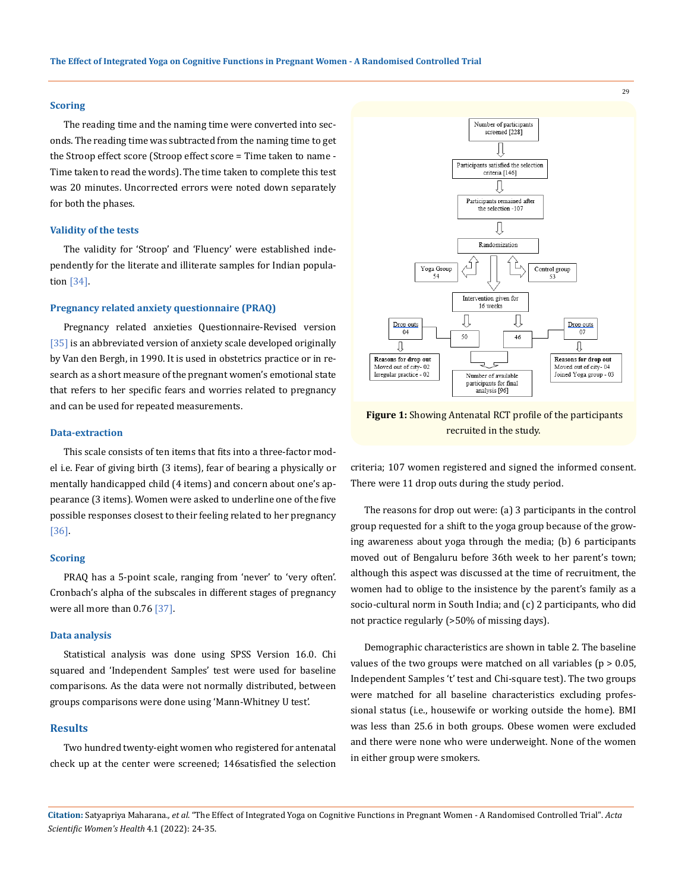#### **Scoring**

The reading time and the naming time were converted into seconds. The reading time was subtracted from the naming time to get the Stroop effect score (Stroop effect score = Time taken to name - Time taken to read the words). The time taken to complete this test was 20 minutes. Uncorrected errors were noted down separately for both the phases.

#### **Validity of the tests**

The validity for 'Stroop' and 'Fluency' were established independently for the literate and illiterate samples for Indian population [34].

## **Pregnancy related anxiety questionnaire (PRAQ)**

Pregnancy related anxieties Questionnaire-Revised version [35] is an abbreviated version of anxiety scale developed originally by Van den Bergh, in 1990. It is used in obstetrics practice or in research as a short measure of the pregnant women's emotional state that refers to her specific fears and worries related to pregnancy and can be used for repeated measurements.

## **Data-extraction**

This scale consists of ten items that fits into a three-factor model i.e. Fear of giving birth (3 items), fear of bearing a physically or mentally handicapped child (4 items) and concern about one's appearance (3 items). Women were asked to underline one of the five possible responses closest to their feeling related to her pregnancy [36].

#### **Scoring**

PRAQ has a 5-point scale, ranging from 'never' to 'very often'. Cronbach's alpha of the subscales in different stages of pregnancy were all more than 0.76 [37].

#### **Data analysis**

Statistical analysis was done using SPSS Version 16.0. Chi squared and 'Independent Samples' test were used for baseline comparisons. As the data were not normally distributed, between groups comparisons were done using 'Mann-Whitney U test'.

## **Results**

Two hundred twenty-eight women who registered for antenatal check up at the center were screened; 146satisfied the selection



 **Figure 1:** Showing Antenatal RCT profile of the participants recruited in the study.

criteria; 107 women registered and signed the informed consent. There were 11 drop outs during the study period.

The reasons for drop out were: (a) 3 participants in the control group requested for a shift to the yoga group because of the growing awareness about yoga through the media; (b) 6 participants moved out of Bengaluru before 36th week to her parent's town; although this aspect was discussed at the time of recruitment, the women had to oblige to the insistence by the parent's family as a socio-cultural norm in South India; and (c) 2 participants, who did not practice regularly (>50% of missing days).

Demographic characteristics are shown in table 2. The baseline values of the two groups were matched on all variables ( $p > 0.05$ , Independent Samples 't' test and Chi-square test). The two groups were matched for all baseline characteristics excluding professional status (i.e., housewife or working outside the home). BMI was less than 25.6 in both groups. Obese women were excluded and there were none who were underweight. None of the women in either group were smokers.

## **Citation:** Satyapriya Maharana*., et al.* "The Effect of Integrated Yoga on Cognitive Functions in Pregnant Women - A Randomised Controlled Trial". *Acta Scientific Women's Health* 4.1 (2022): 24-35.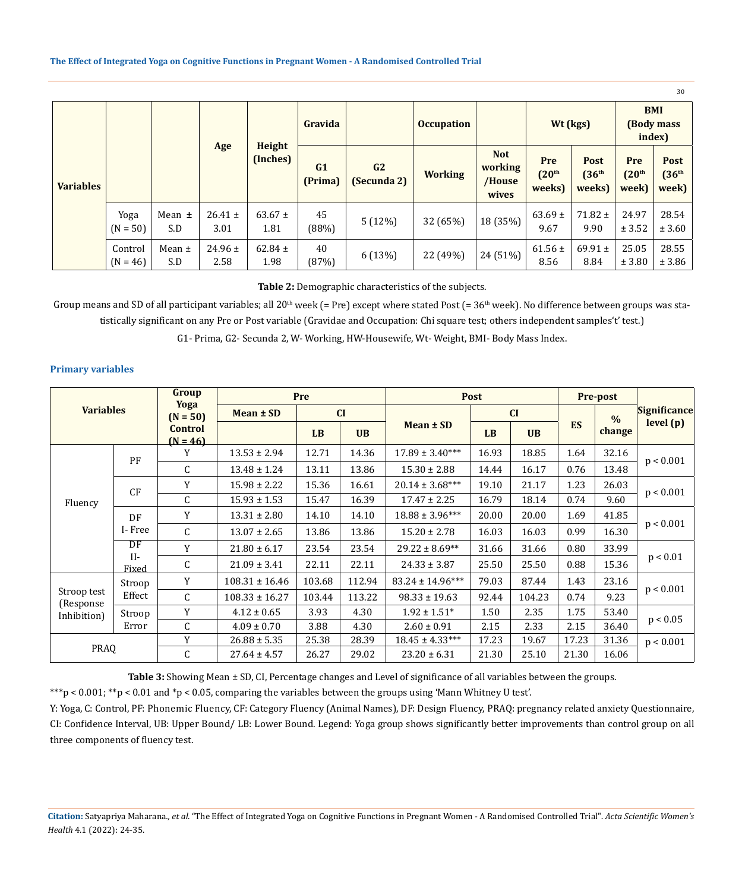|                  |                       |                   |                     |                           |               |                               |                   |                                          |                                    |                                       |                                    | JU.                                  |
|------------------|-----------------------|-------------------|---------------------|---------------------------|---------------|-------------------------------|-------------------|------------------------------------------|------------------------------------|---------------------------------------|------------------------------------|--------------------------------------|
| <b>Variables</b> |                       |                   | Age                 | <b>Height</b><br>(Inches) | Gravida       |                               | <b>Occupation</b> |                                          | Wt (kgs)                           |                                       | <b>BMI</b><br>(Body mass<br>index) |                                      |
|                  |                       |                   |                     |                           | G1<br>(Prima) | G <sub>2</sub><br>(Secunda 2) | <b>Working</b>    | <b>Not</b><br>working<br>/House<br>wives | Pre<br>(20 <sup>th</sup><br>weeks) | Post<br>(36 <sup>th</sup> )<br>weeks) | Pre<br>(20 <sup>th</sup><br>week)  | Post<br>(36 <sup>th</sup> )<br>week) |
|                  | Yoga<br>$(N = 50)$    | Mean $\pm$<br>S.D | $26.41 \pm$<br>3.01 | $63.67 \pm$<br>1.81       | 45<br>(88%)   | 5(12%)                        | 32 (65%)          | 18 (35%)                                 | $63.69 \pm$<br>9.67                | $71.82 \pm$<br>9.90                   | 24.97<br>± 3.52                    | 28.54<br>± 3.60                      |
|                  | Control<br>$(N = 46)$ | Mean $\pm$<br>S.D | $24.96 \pm$<br>2.58 | $62.84 \pm$<br>1.98       | 40<br>(87%)   | 6(13%)                        | 22 (49%)          | 24 (51%)                                 | $61.56 \pm$<br>8.56                | 69.91 $\pm$<br>8.84                   | 25.05<br>± 3.80                    | 28.55<br>± 3.86                      |

 $20^{\circ}$ 

**Table 2:** Demographic characteristics of the subjects.

Group means and SD of all participant variables; all 20<sup>th</sup> week (= Pre) except where stated Post (=  $36<sup>th</sup>$  week). No difference between groups was statistically significant on any Pre or Post variable (Gravidae and Occupation: Chi square test; others independent samples't' test.)

G1- Prima, G2- Secunda 2, W- Working, HW-Housewife, Wt- Weight, BMI- Body Mass Index.

| <b>Variables</b>                        |                      | Group                        | Pre                |        |           | <b>Post</b>          |       |           | Pre-post  |               |                     |  |
|-----------------------------------------|----------------------|------------------------------|--------------------|--------|-----------|----------------------|-------|-----------|-----------|---------------|---------------------|--|
|                                         |                      | Yoga<br>$(N = 50)$           | $Mean \pm SD$      | CI     |           |                      | CI    |           |           | $\frac{0}{0}$ | <b>Significance</b> |  |
|                                         |                      | <b>Control</b><br>$(N = 46)$ |                    | LB     | <b>UB</b> | $Mean \pm SD$        | LB    | <b>UB</b> | <b>ES</b> | change        | level (p)           |  |
|                                         | PF                   | Y                            | $13.53 \pm 2.94$   | 12.71  | 14.36     | $17.89 \pm 3.40***$  | 16.93 | 18.85     | 1.64      | 32.16         | p < 0.001           |  |
|                                         |                      | $\mathsf{C}$                 | $13.48 \pm 1.24$   | 13.11  | 13.86     | $15.30 \pm 2.88$     | 14.44 | 16.17     | 0.76      | 13.48         |                     |  |
| Fluency                                 | CF                   | Y                            | $15.98 \pm 2.22$   | 15.36  | 16.61     | $20.14 \pm 3.68***$  | 19.10 | 21.17     | 1.23      | 26.03         | p < 0.001           |  |
|                                         |                      | $\mathsf{C}$                 | $15.93 \pm 1.53$   | 15.47  | 16.39     | $17.47 \pm 2.25$     | 16.79 | 18.14     | 0.74      | 9.60          |                     |  |
|                                         | DF<br>I-Free         | Y                            | $13.31 \pm 2.80$   | 14.10  | 14.10     | $18.88 \pm 3.96***$  | 20.00 | 20.00     | 1.69      | 41.85         |                     |  |
|                                         |                      | C                            | $13.07 \pm 2.65$   | 13.86  | 13.86     | $15.20 \pm 2.78$     | 16.03 | 16.03     | 0.99      | 16.30         | p < 0.001           |  |
|                                         | DF<br>$II-$<br>Fixed | Y                            | $21.80 \pm 6.17$   | 23.54  | 23.54     | $29.22 \pm 8.69**$   | 31.66 | 31.66     | 0.80      | 33.99         |                     |  |
|                                         |                      | C                            | $21.09 \pm 3.41$   | 22.11  | 22.11     | $24.33 \pm 3.87$     | 25.50 | 25.50     | 0.88      | 15.36         | p < 0.01            |  |
| Stroop test<br>(Response<br>Inhibition) | Stroop<br>Effect     | Y                            | $108.31 \pm 16.46$ | 103.68 | 112.94    | $83.24 \pm 14.96***$ | 79.03 | 87.44     | 1.43      | 23.16         | p < 0.001           |  |
|                                         |                      | $\mathsf{C}$                 | $108.33 \pm 16.27$ | 103.44 | 113.22    | $98.33 \pm 19.63$    | 92.44 | 104.23    | 0.74      | 9.23          |                     |  |
|                                         | Stroop<br>Error      | Y                            | $4.12 \pm 0.65$    | 3.93   | 4.30      | $1.92 \pm 1.51*$     | 1.50  | 2.35      | 1.75      | 53.40         |                     |  |
|                                         |                      | C                            | $4.09 \pm 0.70$    | 3.88   | 4.30      | $2.60 \pm 0.91$      | 2.15  | 2.33      | 2.15      | 36.40         | p < 0.05            |  |
| PRAQ                                    |                      | Y                            | $26.88 \pm 5.35$   | 25.38  | 28.39     | $18.45 \pm 4.33***$  | 17.23 | 19.67     | 17.23     | 31.36         | p < 0.001           |  |
|                                         |                      | C                            | $27.64 \pm 4.57$   | 26.27  | 29.02     | $23.20 \pm 6.31$     | 21.30 | 25.10     | 21.30     | 16.06         |                     |  |

# **Primary variables**

**Table 3:** Showing Mean ± SD, CI, Percentage changes and Level of significance of all variables between the groups.

\*\*\*p < 0.001; \*\*p < 0.01 and \*p < 0.05, comparing the variables between the groups using 'Mann Whitney U test'.

Y: Yoga, C: Control, PF: Phonemic Fluency, CF: Category Fluency (Animal Names), DF: Design Fluency, PRAQ: pregnancy related anxiety Questionnaire, CI: Confidence Interval, UB: Upper Bound/ LB: Lower Bound. Legend: Yoga group shows significantly better improvements than control group on all three components of fluency test.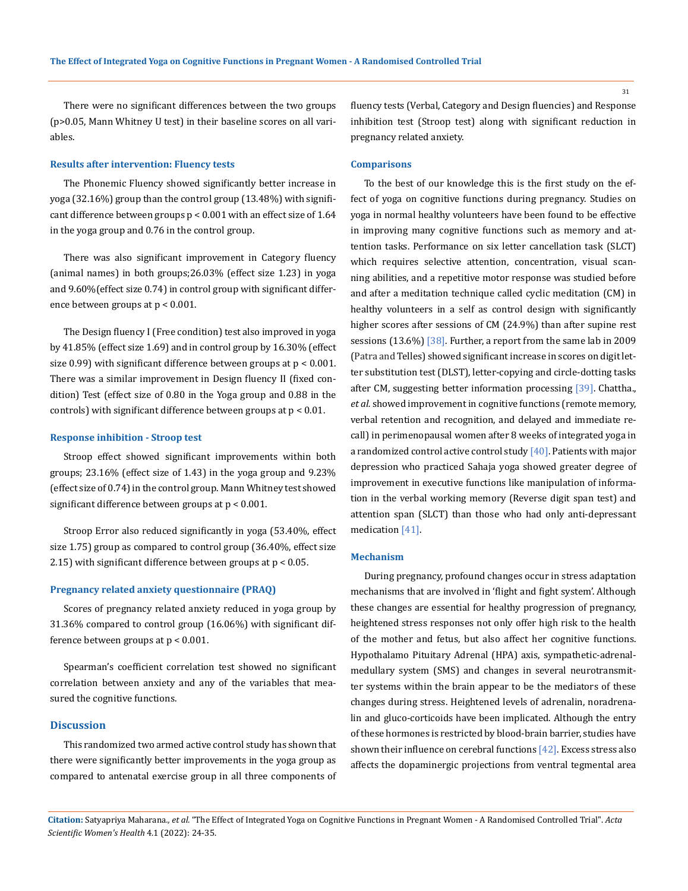There were no significant differences between the two groups (p>0.05, Mann Whitney U test) in their baseline scores on all variables.

#### **Results after intervention: Fluency tests**

The Phonemic Fluency showed significantly better increase in yoga (32.16%) group than the control group (13.48%) with significant difference between groups p < 0.001 with an effect size of 1.64 in the yoga group and 0.76 in the control group.

There was also significant improvement in Category fluency (animal names) in both groups;26.03% (effect size 1.23) in yoga and 9.60%(effect size 0.74) in control group with significant difference between groups at p < 0.001.

The Design fluency I (Free condition) test also improved in yoga by 41.85% (effect size 1.69) and in control group by 16.30% (effect size  $0.99$ ) with significant difference between groups at  $p < 0.001$ . There was a similar improvement in Design fluency II (fixed condition) Test (effect size of 0.80 in the Yoga group and 0.88 in the controls) with significant difference between groups at p < 0.01.

#### **Response inhibition - Stroop test**

Stroop effect showed significant improvements within both groups; 23.16% (effect size of 1.43) in the yoga group and 9.23% (effect size of 0.74) in the control group. Mann Whitney test showed significant difference between groups at p < 0.001.

Stroop Error also reduced significantly in yoga (53.40%, effect size 1.75) group as compared to control group (36.40%, effect size 2.15) with significant difference between groups at p < 0.05.

#### **Pregnancy related anxiety questionnaire (PRAQ)**

Scores of pregnancy related anxiety reduced in yoga group by 31.36% compared to control group (16.06%) with significant difference between groups at p < 0.001.

Spearman's coefficient correlation test showed no significant correlation between anxiety and any of the variables that measured the cognitive functions.

# **Discussion**

This randomized two armed active control study has shown that there were significantly better improvements in the yoga group as compared to antenatal exercise group in all three components of fluency tests (Verbal, Category and Design fluencies) and Response inhibition test (Stroop test) along with significant reduction in pregnancy related anxiety.

#### **Comparisons**

To the best of our knowledge this is the first study on the effect of yoga on cognitive functions during pregnancy. Studies on yoga in normal healthy volunteers have been found to be effective in improving many cognitive functions such as memory and attention tasks. Performance on six letter cancellation task (SLCT) which requires selective attention, concentration, visual scanning abilities, and a repetitive motor response was studied before and after a meditation technique called cyclic meditation (CM) in healthy volunteers in a self as control design with significantly higher scores after sessions of CM (24.9%) than after supine rest sessions (13.6%) [38]. Further, a report from the same lab in 2009 (Patra and Telles) showed significant increase in scores on digit letter substitution test (DLST), letter-copying and circle-dotting tasks after CM, suggesting better information processing [39]. Chattha., *et al.* showed improvement in cognitive functions (remote memory, verbal retention and recognition, and delayed and immediate recall) in perimenopausal women after 8 weeks of integrated yoga in a randomized control active control study  $[40]$ . Patients with major depression who practiced Sahaja yoga showed greater degree of improvement in executive functions like manipulation of information in the verbal working memory (Reverse digit span test) and attention span (SLCT) than those who had only anti-depressant medication [41].

## **Mechanism**

During pregnancy, profound changes occur in stress adaptation mechanisms that are involved in 'flight and fight system'. Although these changes are essential for healthy progression of pregnancy, heightened stress responses not only offer high risk to the health of the mother and fetus, but also affect her cognitive functions. Hypothalamo Pituitary Adrenal (HPA) axis, sympathetic-adrenalmedullary system (SMS) and changes in several neurotransmitter systems within the brain appear to be the mediators of these changes during stress. Heightened levels of adrenalin, noradrenalin and gluco-corticoids have been implicated. Although the entry of these hormones is restricted by blood-brain barrier, studies have shown their influence on cerebral functions [42]. Excess stress also affects the dopaminergic projections from ventral tegmental area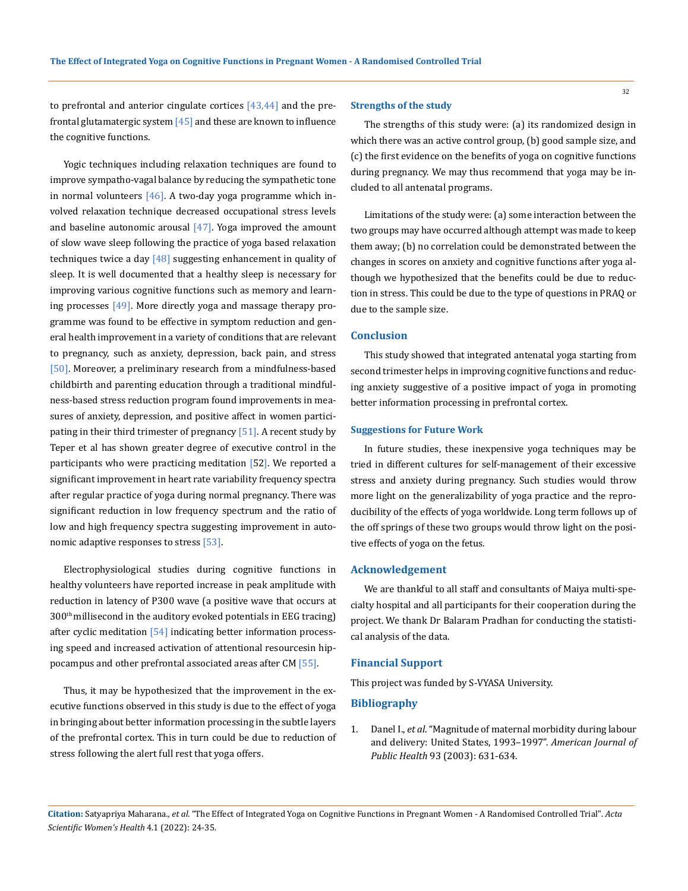Yogic techniques including relaxation techniques are found to improve sympatho-vagal balance by reducing the sympathetic tone in normal volunteers  $[46]$ . A two-day yoga programme which involved relaxation technique decreased occupational stress levels and baseline autonomic arousal  $[47]$ . Yoga improved the amount of slow wave sleep following the practice of yoga based relaxation techniques twice a day  $[48]$  suggesting enhancement in quality of sleep. It is well documented that a healthy sleep is necessary for improving various cognitive functions such as memory and learning processes  $[49]$ . More directly yoga and massage therapy programme was found to be effective in symptom reduction and general health improvement in a variety of conditions that are relevant to pregnancy, such as anxiety, depression, back pain, and stress [50]. Moreover, a preliminary research from a mindfulness-based childbirth and parenting education through a traditional mindfulness-based stress reduction program found improvements in measures of anxiety, depression, and positive affect in women participating in their third trimester of pregnancy [51]. A recent study by Teper et al has shown greater degree of executive control in the participants who were practicing meditation [52]. We reported a significant improvement in heart rate variability frequency spectra after regular practice of yoga during normal pregnancy. There was significant reduction in low frequency spectrum and the ratio of low and high frequency spectra suggesting improvement in autonomic adaptive responses to stress [53].

the cognitive functions.

Electrophysiological studies during cognitive functions in healthy volunteers have reported increase in peak amplitude with reduction in latency of P300 wave (a positive wave that occurs at 300th millisecond in the auditory evoked potentials in EEG tracing) after cyclic meditation [54] indicating better information processing speed and increased activation of attentional resourcesin hippocampus and other prefrontal associated areas after CM [55].

Thus, it may be hypothesized that the improvement in the executive functions observed in this study is due to the effect of yoga in bringing about better information processing in the subtle layers of the prefrontal cortex. This in turn could be due to reduction of stress following the alert full rest that yoga offers.

#### **Strengths of the study**

The strengths of this study were: (a) its randomized design in which there was an active control group, (b) good sample size, and (c) the first evidence on the benefits of yoga on cognitive functions during pregnancy. We may thus recommend that yoga may be included to all antenatal programs.

Limitations of the study were: (a) some interaction between the two groups may have occurred although attempt was made to keep them away; (b) no correlation could be demonstrated between the changes in scores on anxiety and cognitive functions after yoga although we hypothesized that the benefits could be due to reduction in stress. This could be due to the type of questions in PRAQ or due to the sample size.

## **Conclusion**

This study showed that integrated antenatal yoga starting from second trimester helps in improving cognitive functions and reducing anxiety suggestive of a positive impact of yoga in promoting better information processing in prefrontal cortex.

#### **Suggestions for Future Work**

In future studies, these inexpensive yoga techniques may be tried in different cultures for self-management of their excessive stress and anxiety during pregnancy. Such studies would throw more light on the generalizability of yoga practice and the reproducibility of the effects of yoga worldwide. Long term follows up of the off springs of these two groups would throw light on the positive effects of yoga on the fetus.

#### **Acknowledgement**

We are thankful to all staff and consultants of Maiya multi-specialty hospital and all participants for their cooperation during the project. We thank Dr Balaram Pradhan for conducting the statistical analysis of the data.

## **Financial Support**

This project was funded by S-VYASA University.

## **Bibliography**

1. Danel I., *et al*[. "Magnitude of maternal morbidity during labour](https://www.ncbi.nlm.nih.gov/pmc/articles/PMC1447802/)  [and delivery: United States, 1993–1997".](https://www.ncbi.nlm.nih.gov/pmc/articles/PMC1447802/) *American Journal of Public Health* [93 \(2003\): 631-634.](https://www.ncbi.nlm.nih.gov/pmc/articles/PMC1447802/)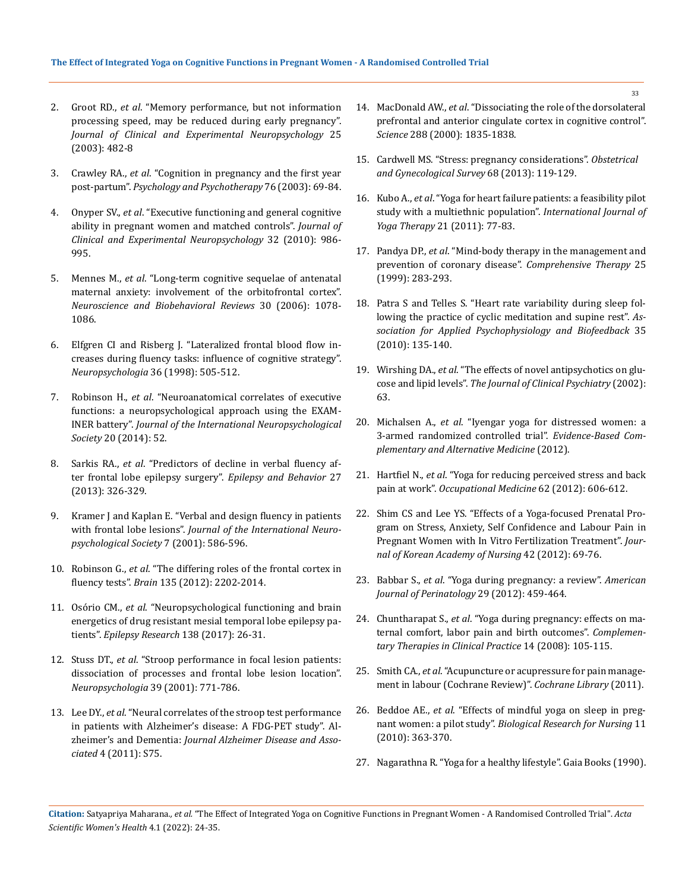- 2. Groot RD., *et al*[. "Memory performance, but not information](https://www.tandfonline.com/doi/abs/10.1076/jcen.25.4.482.13871?journalCode=ncen20)  [processing speed, may be reduced during early pregnancy".](https://www.tandfonline.com/doi/abs/10.1076/jcen.25.4.482.13871?journalCode=ncen20)  *[Journal of Clinical and Experimental Neuropsychology](https://www.tandfonline.com/doi/abs/10.1076/jcen.25.4.482.13871?journalCode=ncen20)* 25 [\(2003\): 482-8](https://www.tandfonline.com/doi/abs/10.1076/jcen.25.4.482.13871?journalCode=ncen20)
- 3. Crawley RA., *et al*[. "Cognition in pregnancy and the first year](https://pubmed.ncbi.nlm.nih.gov/12689436/)  post-partum". *[Psychology and Psychotherapy](https://pubmed.ncbi.nlm.nih.gov/12689436/)* 76 (2003): 69-84.
- 4. Onyper SV., *et al*[. "Executive functioning and general cognitive](https://pubmed.ncbi.nlm.nih.gov/20408003/)  [ability in pregnant women and matched controls".](https://pubmed.ncbi.nlm.nih.gov/20408003/) *Journal of [Clinical and Experimental Neuropsychology](https://pubmed.ncbi.nlm.nih.gov/20408003/)* 32 (2010): 986- [995.](https://pubmed.ncbi.nlm.nih.gov/20408003/)
- 5. Mennes M., *et al*[. "Long-term cognitive sequelae of antenatal](https://pubmed.ncbi.nlm.nih.gov/16780948/)  [maternal anxiety: involvement of the orbitofrontal cortex".](https://pubmed.ncbi.nlm.nih.gov/16780948/)  *[Neuroscience and Biobehavioral Reviews](https://pubmed.ncbi.nlm.nih.gov/16780948/)* 30 (2006): 1078- [1086.](https://pubmed.ncbi.nlm.nih.gov/16780948/)
- 6. [Elfgren CI and Risberg J. "Lateralized frontal blood flow in](https://pubmed.ncbi.nlm.nih.gov/9705060/)[creases during fluency tasks: influence of cognitive strategy".](https://pubmed.ncbi.nlm.nih.gov/9705060/)  *[Neuropsychologia](https://pubmed.ncbi.nlm.nih.gov/9705060/)* 36 (1998): 505-512.
- 7. Robinson H., *et al*[. "Neuroanatomical correlates of executive](https://pubmed.ncbi.nlm.nih.gov/23759126/)  [functions: a neuropsychological approach using the EXAM-](https://pubmed.ncbi.nlm.nih.gov/23759126/)INER battery". *[Journal of the International Neuropsychological](https://pubmed.ncbi.nlm.nih.gov/23759126/)  Society* [20 \(2014\): 52.](https://pubmed.ncbi.nlm.nih.gov/23759126/)
- 8. Sarkis RA., *et al*[. "Predictors of decline in verbal fluency af](https://pubmed.ncbi.nlm.nih.gov/23524470/)[ter frontal lobe epilepsy surgery".](https://pubmed.ncbi.nlm.nih.gov/23524470/) *Epilepsy and Behavior* 27 [\(2013\): 326-329.](https://pubmed.ncbi.nlm.nih.gov/23524470/)
- 9. [Kramer J and Kaplan E. "Verbal and design fluency in patients](https://pubmed.ncbi.nlm.nih.gov/11459110/)  with frontal lobe lesions". *[Journal of the International Neuro](https://pubmed.ncbi.nlm.nih.gov/11459110/)[psychological Society](https://pubmed.ncbi.nlm.nih.gov/11459110/)* 7 (2001): 586-596.
- 10. Robinson G., *et al*[. "The differing roles of the frontal cortex in](https://pubmed.ncbi.nlm.nih.gov/22669082/)  fluency tests". *Brain* [135 \(2012\): 2202-2014.](https://pubmed.ncbi.nlm.nih.gov/22669082/)
- 11. Osório CM., *et al*[. "Neuropsychological functioning and brain](https://www.sciencedirect.com/science/article/abs/pii/S0920121117301341)  [energetics of drug resistant mesial temporal lobe epilepsy pa](https://www.sciencedirect.com/science/article/abs/pii/S0920121117301341)tients". *[Epilepsy Research](https://www.sciencedirect.com/science/article/abs/pii/S0920121117301341)* 138 (2017): 26-31.
- 12. Stuss DT., *et al*[. "Stroop performance in focal lesion patients:](https://psycnet.apa.org/record/2001-07284-002)  [dissociation of processes and frontal lobe lesion location".](https://psycnet.apa.org/record/2001-07284-002)  *[Neuropsychologia](https://psycnet.apa.org/record/2001-07284-002)* 39 (2001): 771-786.
- 13. Lee DY., *et al*[. "Neural correlates of the stroop test performance](https://www.karger.com/Article/Fulltext/329517)  [in patients with Alzheimer's disease: A FDG-PET study". Al](https://www.karger.com/Article/Fulltext/329517)zheimer's and Dementia: *[Journal Alzheimer Disease and Asso](https://www.karger.com/Article/Fulltext/329517)ciated* [4 \(2011\): S75.](https://www.karger.com/Article/Fulltext/329517)
- 14. MacDonald AW., *et al*[. "Dissociating the role of the dorsolateral](https://pubmed.ncbi.nlm.nih.gov/22163244/)  [prefrontal and anterior cingulate cortex in cognitive control".](https://pubmed.ncbi.nlm.nih.gov/22163244/)  *Science* [288 \(2000\): 1835-1838.](https://pubmed.ncbi.nlm.nih.gov/22163244/)
- 15. [Cardwell MS. "Stress: pregnancy considerations".](https://pubmed.ncbi.nlm.nih.gov/23417218/) *Obstetrical [and Gynecological Survey](https://pubmed.ncbi.nlm.nih.gov/23417218/)* 68 (2013): 119-129.
- 16. Kubo A., *et al*[. "Yoga for heart failure patients: a feasibility pilot](https://pubmed.ncbi.nlm.nih.gov/22398347/)  [study with a multiethnic population".](https://pubmed.ncbi.nlm.nih.gov/22398347/) *International Journal of Yoga Therapy* [21 \(2011\): 77-83.](https://pubmed.ncbi.nlm.nih.gov/22398347/)
- 17. Pandya DP., *et al*[. "Mind-body therapy in the management and](https://pubmed.ncbi.nlm.nih.gov/10390658/)  [prevention of coronary disease".](https://pubmed.ncbi.nlm.nih.gov/10390658/) *Comprehensive Therapy* 25 [\(1999\): 283-293.](https://pubmed.ncbi.nlm.nih.gov/10390658/)
- 18. [Patra S and Telles S. "Heart rate variability during sleep fol](https://pubmed.ncbi.nlm.nih.gov/19838801/)[lowing the practice of cyclic meditation and supine rest".](https://pubmed.ncbi.nlm.nih.gov/19838801/) *As[sociation for Applied Psychophysiology and Biofeedback](https://pubmed.ncbi.nlm.nih.gov/19838801/)* 35 [\(2010\): 135-140.](https://pubmed.ncbi.nlm.nih.gov/19838801/)
- 19. Wirshing DA., *et al*[. "The effects of novel antipsychotics on glu](https://pubmed.ncbi.nlm.nih.gov/12416594/)cose and lipid levels". *[The Journal of Clinical Psychiatry](https://pubmed.ncbi.nlm.nih.gov/12416594/)* (2002): [63.](https://pubmed.ncbi.nlm.nih.gov/12416594/)
- 20. Michalsen A., *et al*[. "Iyengar yoga for distressed women: a](https://pubmed.ncbi.nlm.nih.gov/23049608/)  [3-armed randomized controlled trial".](https://pubmed.ncbi.nlm.nih.gov/23049608/) *Evidence-Based Com[plementary and Alternative Medicine](https://pubmed.ncbi.nlm.nih.gov/23049608/)* (2012).
- 21. Hartfiel N., *et al*[. "Yoga for reducing perceived stress and back](https://pubmed.ncbi.nlm.nih.gov/23012344/)  pain at work". *[Occupational Medicine](https://pubmed.ncbi.nlm.nih.gov/23012344/)* 62 (2012): 606-612.
- 22. [Shim CS and Lee YS. "Effects of a Yoga-focused Prenatal Pro](https://pubmed.ncbi.nlm.nih.gov/22854549/)[gram on Stress, Anxiety, Self Confidence and Labour Pain in](https://pubmed.ncbi.nlm.nih.gov/22854549/)  [Pregnant Women with In Vitro Fertilization Treatment".](https://pubmed.ncbi.nlm.nih.gov/22854549/) *Jour[nal of Korean Academy of Nursing](https://pubmed.ncbi.nlm.nih.gov/22854549/)* 42 (2012): 69-76.
- 23. Babbar S., *et al*[. "Yoga during pregnancy: a review".](https://pubmed.ncbi.nlm.nih.gov/22399208/) *American [Journal of Perinatology](https://pubmed.ncbi.nlm.nih.gov/22399208/)* 29 (2012): 459-464.
- 24. Chuntharapat S., *et al*[. "Yoga during pregnancy: effects on ma](https://www.researchgate.net/publication/5456953_Yoga_during_pregnancy_Effects_on_maternal_comfort_labor_pain_and_birth_outcomes)[ternal comfort, labor pain and birth outcomes".](https://www.researchgate.net/publication/5456953_Yoga_during_pregnancy_Effects_on_maternal_comfort_labor_pain_and_birth_outcomes) *Complemen[tary Therapies in Clinical Practice](https://www.researchgate.net/publication/5456953_Yoga_during_pregnancy_Effects_on_maternal_comfort_labor_pain_and_birth_outcomes)* 14 (2008): 105-115.
- 25. Smith CA., *et al*[. "Acupuncture or acupressure for pain manage](https://pubmed.ncbi.nlm.nih.gov/21735441/)[ment in labour \(Cochrane Review\)".](https://pubmed.ncbi.nlm.nih.gov/21735441/) *Cochrane Library* (2011).
- 26. Beddoe AE., *et al*[. "Effects of mindful yoga on sleep in preg](https://pubmed.ncbi.nlm.nih.gov/20338897/)nant women: a pilot study". *[Biological Research for Nursing](https://pubmed.ncbi.nlm.nih.gov/20338897/)* 11 [\(2010\): 363-370.](https://pubmed.ncbi.nlm.nih.gov/20338897/)
- 27. Nagarathna R. "Yoga for a healthy lifestyle". Gaia Books (1990).

**Citation:** Satyapriya Maharana*., et al.* "The Effect of Integrated Yoga on Cognitive Functions in Pregnant Women - A Randomised Controlled Trial". *Acta Scientific Women's Health* 4.1 (2022): 24-35.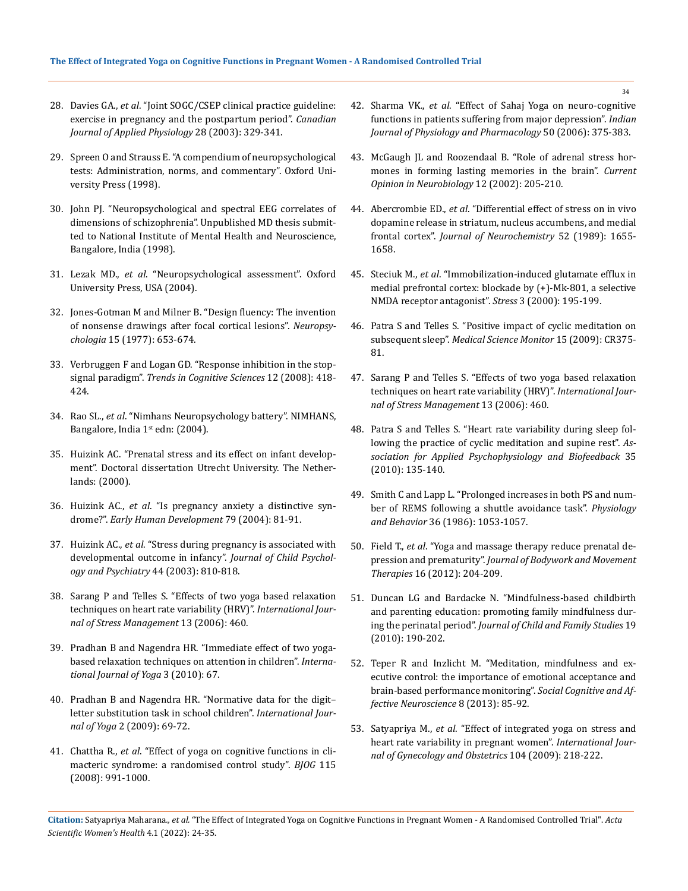- 28. Davies GA., *et al*[. "Joint SOGC/CSEP clinical practice guideline:](https://pubmed.ncbi.nlm.nih.gov/12955862/)  [exercise in pregnancy and the postpartum period".](https://pubmed.ncbi.nlm.nih.gov/12955862/) *Canadian [Journal of Applied Physiology](https://pubmed.ncbi.nlm.nih.gov/12955862/)* 28 (2003): 329-341.
- 29. [Spreen O and Strauss E. "A compendium of neuropsychological](https://global.oup.com/academic/product/a-compendium-of-neuropsychological-tests-9780199856183?cc=in&lang=en&)  [tests: Administration, norms, and commentary". Oxford Uni](https://global.oup.com/academic/product/a-compendium-of-neuropsychological-tests-9780199856183?cc=in&lang=en&)[versity Press \(1998\).](https://global.oup.com/academic/product/a-compendium-of-neuropsychological-tests-9780199856183?cc=in&lang=en&)
- 30. John PJ. "Neuropsychological and spectral EEG correlates of dimensions of schizophrenia". Unpublished MD thesis submitted to National Institute of Mental Health and Neuroscience, Bangalore, India (1998).
- 31. Lezak MD., *et al*. "Neuropsychological assessment". Oxford University Press, USA (2004).
- 32. [Jones-Gotman M and Milner B. "Design fluency: The invention](https://www.sciencedirect.com/science/article/abs/pii/0028393277900707)  [of nonsense drawings after focal cortical lesions".](https://www.sciencedirect.com/science/article/abs/pii/0028393277900707) *Neuropsychologia* [15 \(1977\): 653-674.](https://www.sciencedirect.com/science/article/abs/pii/0028393277900707)
- 33. [Verbruggen F and Logan GD. "Response inhibition in the stop](https://www.ncbi.nlm.nih.gov/pmc/articles/PMC2709177/)signal paradigm". *[Trends in Cognitive Sciences](https://www.ncbi.nlm.nih.gov/pmc/articles/PMC2709177/)* 12 (2008): 418- [424.](https://www.ncbi.nlm.nih.gov/pmc/articles/PMC2709177/)
- 34. Rao SL., *et al*. "Nimhans Neuropsychology battery". NIMHANS, Bangalore, India 1<sup>st</sup> edn: (2004).
- 35. [Huizink AC. "Prenatal stress and its effect on infant develop](https://pubmed.ncbi.nlm.nih.gov/25287545/)[ment". Doctoral dissertation Utrecht University. The Nether](https://pubmed.ncbi.nlm.nih.gov/25287545/)[lands: \(2000\).](https://pubmed.ncbi.nlm.nih.gov/25287545/)
- 36. Huizink AC., *et al*[. "Is pregnancy anxiety a distinctive syn](https://pubmed.ncbi.nlm.nih.gov/15324989/)drome?". *[Early Human Development](https://pubmed.ncbi.nlm.nih.gov/15324989/)* 79 (2004): 81-91.
- 37. Huizink AC., *et al*[. "Stress during pregnancy is associated with](https://pubmed.ncbi.nlm.nih.gov/12959490/)  [developmental outcome in infancy".](https://pubmed.ncbi.nlm.nih.gov/12959490/) *Journal of Child Psychol[ogy and Psychiatry](https://pubmed.ncbi.nlm.nih.gov/12959490/)* 44 (2003): 810-818.
- 38. [Sarang P and Telles S. "Effects of two yoga based relaxation](https://psycnet.apa.org/record/2006-21928-005)  [techniques on heart rate variability \(HRV\)".](https://psycnet.apa.org/record/2006-21928-005) *International Jour[nal of Stress Management](https://psycnet.apa.org/record/2006-21928-005)* 13 (2006): 460.
- 39. [Pradhan B and Nagendra HR. "Immediate effect of two yoga](https://pubmed.ncbi.nlm.nih.gov/21170232/)[based relaxation techniques on attention in children".](https://pubmed.ncbi.nlm.nih.gov/21170232/) *Interna[tional Journal of Yoga](https://pubmed.ncbi.nlm.nih.gov/21170232/)* 3 (2010): 67.
- 40. [Pradhan B and Nagendra HR. "Normative data for the digit–](https://www.ncbi.nlm.nih.gov/pmc/articles/PMC2933731/) [letter substitution task in school children".](https://www.ncbi.nlm.nih.gov/pmc/articles/PMC2933731/) *International Journal of Yoga* [2 \(2009\): 69-72.](https://www.ncbi.nlm.nih.gov/pmc/articles/PMC2933731/)
- 41. Chattha R., *et al*[. "Effect of yoga on cognitive functions in cli](https://pubmed.ncbi.nlm.nih.gov/18503578/)[macteric syndrome: a randomised control study".](https://pubmed.ncbi.nlm.nih.gov/18503578/) *BJOG* 115 [\(2008\): 991-1000.](https://pubmed.ncbi.nlm.nih.gov/18503578/)
- 42. Sharma VK., *et al*[. "Effect of Sahaj Yoga on neuro-cognitive](https://pubmed.ncbi.nlm.nih.gov/17402267/)  [functions in patients suffering from major depression".](https://pubmed.ncbi.nlm.nih.gov/17402267/) *Indian [Journal of Physiology and Pharmacology](https://pubmed.ncbi.nlm.nih.gov/17402267/)* 50 (2006): 375-383.
- 43. [McGaugh JL and Roozendaal B. "Role of adrenal stress hor](https://pubmed.ncbi.nlm.nih.gov/12015238/)[mones in forming lasting memories in the brain".](https://pubmed.ncbi.nlm.nih.gov/12015238/) *Current [Opinion in Neurobiology](https://pubmed.ncbi.nlm.nih.gov/12015238/)* 12 (2002): 205-210.
- 44. Abercrombie ED., *et al*[. "Differential effect of stress on in vivo](https://pubmed.ncbi.nlm.nih.gov/2709017/)  [dopamine release in striatum, nucleus accumbens, and medial](https://pubmed.ncbi.nlm.nih.gov/2709017/)  frontal cortex". *[Journal of Neurochemistry](https://pubmed.ncbi.nlm.nih.gov/2709017/)* 52 (1989): 1655- [1658.](https://pubmed.ncbi.nlm.nih.gov/2709017/)
- 45. Steciuk M., *et al*[. "Immobilization-induced glutamate efflux in](https://www.wikidata.org/wiki/Q64977462)  [medial prefrontal cortex: blockade by \(+\)-Mk-801, a selective](https://www.wikidata.org/wiki/Q64977462)  [NMDA receptor antagonist".](https://www.wikidata.org/wiki/Q64977462) *Stress* 3 (2000): 195-199.
- 46. [Patra S and Telles S. "Positive impact of cyclic meditation on](https://pubmed.ncbi.nlm.nih.gov/19564829/)  subsequent sleep". *[Medical Science Monitor](https://pubmed.ncbi.nlm.nih.gov/19564829/)* 15 (2009): CR375- [81.](https://pubmed.ncbi.nlm.nih.gov/19564829/)
- 47. [Sarang P and Telles S. "Effects of two yoga based relaxation](https://psycnet.apa.org/record/2006-21928-005)  [techniques on heart rate variability \(HRV\)".](https://psycnet.apa.org/record/2006-21928-005) *International Jour[nal of Stress Management](https://psycnet.apa.org/record/2006-21928-005)* 13 (2006): 460.
- 48. [Patra S and Telles S. "Heart rate variability during sleep fol](https://pubmed.ncbi.nlm.nih.gov/19838801/)[lowing the practice of cyclic meditation and supine rest".](https://pubmed.ncbi.nlm.nih.gov/19838801/) *As[sociation for Applied Psychophysiology and Biofeedback](https://pubmed.ncbi.nlm.nih.gov/19838801/)* 35 [\(2010\): 135-140.](https://pubmed.ncbi.nlm.nih.gov/19838801/)
- 49. [Smith C and Lapp L. "Prolonged increases in both PS and num](https://pubmed.ncbi.nlm.nih.gov/3725909/)[ber of REMS following a shuttle avoidance task".](https://pubmed.ncbi.nlm.nih.gov/3725909/) *Physiology and Behavior* [36 \(1986\): 1053-1057.](https://pubmed.ncbi.nlm.nih.gov/3725909/)
- 50. Field T., *et al*[. "Yoga and massage therapy reduce prenatal de](https://www.ncbi.nlm.nih.gov/pmc/articles/PMC3319349/)pression and prematurity". *[Journal of Bodywork and Movement](https://www.ncbi.nlm.nih.gov/pmc/articles/PMC3319349/)  Therapies* [16 \(2012\): 204-209.](https://www.ncbi.nlm.nih.gov/pmc/articles/PMC3319349/)
- 51. [Duncan LG and Bardacke N. "Mindfulness-based childbirth](https://www.ncbi.nlm.nih.gov/pmc/articles/PMC2837157/)  [and parenting education: promoting family mindfulness dur](https://www.ncbi.nlm.nih.gov/pmc/articles/PMC2837157/)ing the perinatal period". *[Journal of Child and Family Studies](https://www.ncbi.nlm.nih.gov/pmc/articles/PMC2837157/)* 19 [\(2010\): 190-202.](https://www.ncbi.nlm.nih.gov/pmc/articles/PMC2837157/)
- 52. [Teper R and Inzlicht M. "Meditation, mindfulness and ex](https://pubmed.ncbi.nlm.nih.gov/22507824/)[ecutive control: the importance of emotional acceptance and](https://pubmed.ncbi.nlm.nih.gov/22507824/)  [brain-based performance monitoring".](https://pubmed.ncbi.nlm.nih.gov/22507824/) *Social Cognitive and Af[fective Neuroscience](https://pubmed.ncbi.nlm.nih.gov/22507824/)* 8 (2013): 85-92.
- 53. Satyapriya M., *et al*[. "Effect of integrated yoga on stress and](https://pubmed.ncbi.nlm.nih.gov/19110245/)  [heart rate variability in pregnant women".](https://pubmed.ncbi.nlm.nih.gov/19110245/) *International Jour[nal of Gynecology and Obstetrics](https://pubmed.ncbi.nlm.nih.gov/19110245/)* 104 (2009): 218-222.

**Citation:** Satyapriya Maharana*., et al.* "The Effect of Integrated Yoga on Cognitive Functions in Pregnant Women - A Randomised Controlled Trial". *Acta Scientific Women's Health* 4.1 (2022): 24-35.